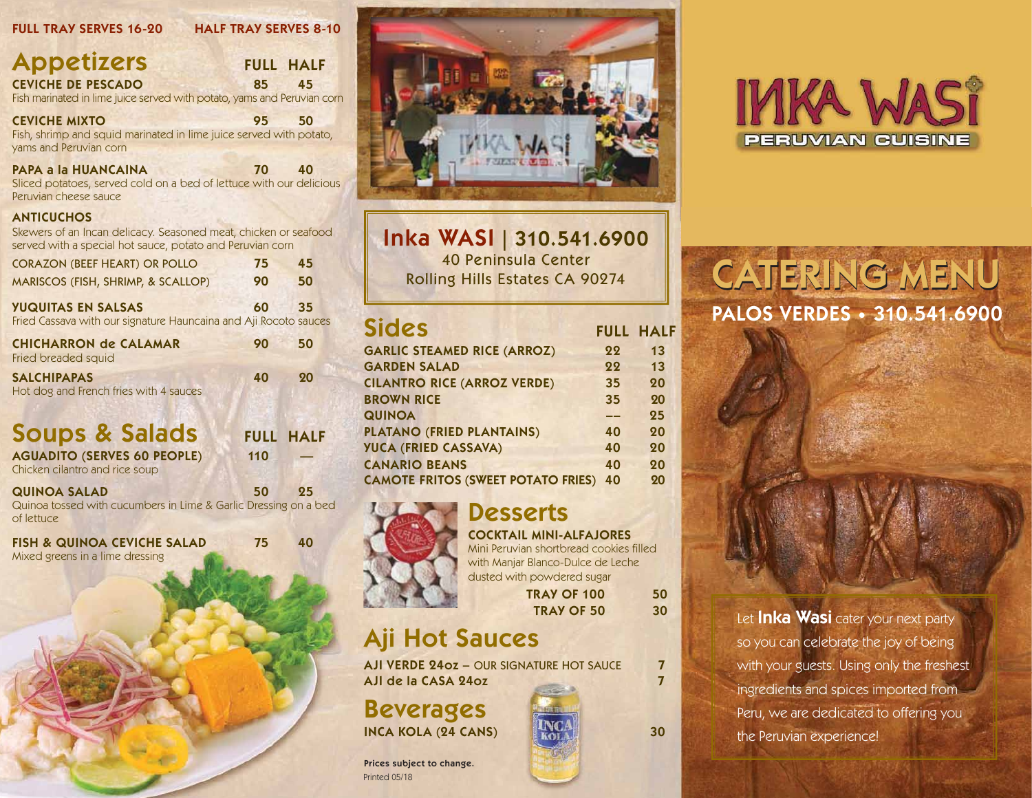### FULL TRAY SERVES 16-20 HALF TRAY SERVES 8-10

| <b>Appetizers</b>                                                       |    | <b>FULL HALF</b> |
|-------------------------------------------------------------------------|----|------------------|
| <b>CEVICHE DE PESCADO</b>                                               | 85 | $-45$            |
| Fish marinated in lime juice served with potato, yams and Peruvian corn |    |                  |

CEVICHE MIXTO 95 50 Fish, shrimp and squid marinated in lime juice served with potato,

yams and Peruvian corn

PAPA a la HUANCAINA 70 40

Sliced potatoes, served cold on a bed of lettuce with our delicious Peruvian cheese sauce

#### **ANTICUCHOS**

Skewers of an Incan delicacy. Seasoned meat, chicken or seafood served with a special hot sauce, potato and Peruvian corn

| <b>CORAZON (BEEF HEART) OR POLLO</b>                             | 75 | 45 |
|------------------------------------------------------------------|----|----|
| MARISCOS (FISH, SHRIMP, & SCALLOP)                               | 90 | 50 |
| <b>YUQUITAS EN SALSAS</b>                                        | 60 | 35 |
| Fried Cassava with our signature Hauncaina and Aji Rocoto sauces |    |    |

| <b>CHICHARRON de CALAMAR</b><br>Fried breaded squid          | 90 | 50 |
|--------------------------------------------------------------|----|----|
| <b>SALCHIPAPAS</b><br>Hot dog and French fries with 4 sauces | 40 | 20 |

## Soups & Salads FULL HALF

| <b>AGUADITO (SERVES 60 PEOPLE)</b> | 110 |  |
|------------------------------------|-----|--|
| Chicken cilantro and rice soup     |     |  |

#### QUINOA SALAD 50 25 Quinoa tossed with cucumbers in Lime & Garlic Dressing on a bed of lettuce

FISH & QUINOA CEVICHE SALAD 75 40 Mixed greens in a lime dressing



Inka WASI | 310.541.6900 40 Peninsula Center

| <b>Sides</b>                              |    | <b>FULL HALF</b> |
|-------------------------------------------|----|------------------|
| <b>GARLIC STEAMED RICE (ARROZ)</b>        | 22 | 13               |
| <b>GARDEN SALAD</b>                       | 22 | 13               |
| <b>CILANTRO RICE (ARROZ VERDE)</b>        | 35 | 20               |
| <b>BROWN RICE</b>                         | 35 | 20               |
| <b>QUINOA</b>                             |    | 25               |
| <b>PLATANO (FRIED PLANTAINS)</b>          | 40 | 20               |
| <b>YUCA (FRIED CASSAVA)</b>               | 40 | 20               |
| <b>CANARIO BEANS</b>                      | 40 | 20               |
| <b>CAMOTE FRITOS (SWEET POTATO FRIES)</b> | 40 | 20               |



**Desserts** COCKTAIL MINI-ALFAJORES

### Mini Peruvian shortbread cookies filled with Manjar Blanco-Dulce de Leche dusted with powdered sugar

TRAY OF 100 50 TRAY OF 50 30

## Aji Hot Sauces

AJI VERDE 24oz - OUR SIGNATURE HOT SAUCE 7 AJI de la CASA 24oz 7

Beverages INCA KOLA (24 CANS) 30







Prices subject to change. Printed 05/18